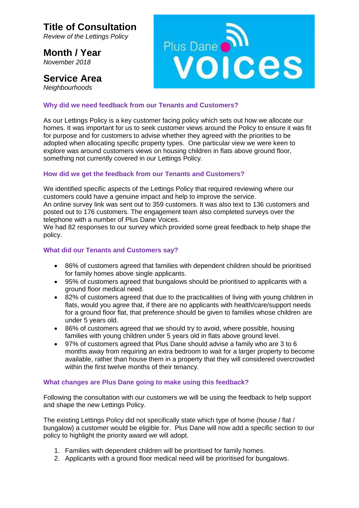## **Title of Consultation**

*Review of the Lettings Policy*

**Month / Year** *November 2018*

### **Service Area**

*Neighbourhoods*



#### **Why did we need feedback from our Tenants and Customers?**

As our Lettings Policy is a key customer facing policy which sets out how we allocate our homes. It was important for us to seek customer views around the Policy to ensure it was fit for purpose and for customers to advise whether they agreed with the priorities to be adopted when allocating specific property types. One particular view we were keen to explore was around customers views on housing children in flats above ground floor, something not currently covered in our Lettings Policy.

#### **How did we get the feedback from our Tenants and Customers?**

We identified specific aspects of the Lettings Policy that required reviewing where our customers could have a genuine impact and help to improve the service. An online survey link was sent out to 359 customers. It was also text to 136 customers and posted out to 176 customers. The engagement team also completed surveys over the telephone with a number of Plus Dane Voices.

We had 82 responses to our survey which provided some great feedback to help shape the policy.

#### **What did our Tenants and Customers say?**

- 86% of customers agreed that families with dependent children should be prioritised for family homes above single applicants.
- 95% of customers agreed that bungalows should be prioritised to applicants with a ground floor medical need.
- 82% of customers agreed that due to the practicalities of living with young children in flats, would you agree that, if there are no applicants with health/care/support needs for a ground floor flat, that preference should be given to families whose children are under 5 years old.
- 86% of customers agreed that we should try to avoid, where possible, housing families with young children under 5 years old in flats above ground level.
- 97% of customers agreed that Plus Dane should advise a family who are 3 to 6 months away from requiring an extra bedroom to wait for a larger property to become available, rather than house them in a property that they will considered overcrowded within the first twelve months of their tenancy.

#### **What changes are Plus Dane going to make using this feedback?**

Following the consultation with our customers we will be using the feedback to help support and shape the new Lettings Policy.

The existing Lettings Policy did not specifically state which type of home (house / flat / bungalow) a customer would be eligible for. Plus Dane will now add a specific section to our policy to highlight the priority award we will adopt.

- 1. Families with dependent children will be prioritised for family homes.
- 2. Applicants with a ground floor medical need will be prioritised for bungalows.